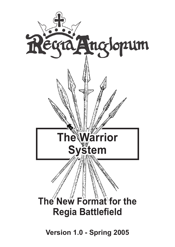

**Version 1.0 - Spring 2005**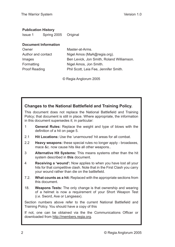### **Publication History**

| <b>Issue 1</b> | Spring 2005 | Original |
|----------------|-------------|----------|
|                |             |          |

### **Document Information**

| Owner                | Master-at-Arms.                           |
|----------------------|-------------------------------------------|
| Author and contact   | Nigel Amos (MaA@regia.org).               |
| Images               | Ben Levick, Jon Smith, Roland Williamson. |
| Formatting           | Nigel Amos, Jon Smith.                    |
| <b>Proof Reading</b> | Phil Scott, Leia Fee, Jennifer Smith.     |
|                      |                                           |

© Regia Anglorum 2005

### **Changes to the National Battlefield and Training Policy.**

This document does not replace the National Battlefield and Training Policy; that document is still in place. Where appropriate, the information in this document supersedes it; in particular:

- 1 **General Rules:** Replace the weight and type of blows with the definition of a hit on page [5.](#page-4-0)
- 2.1 **Hit Locations:** Use the 'unarmoured' hit areas for all combat.
- 2.2 **Heavy weapons:** these special rules no longer apply broadaxes, mace &c. now cause hits like all other weapons..
- 3 **Alternative Hit Systems:** This means systems other than the hit system described in **this** document.
- 4 **Receiving a 'wound':** Now applies to when you have lost all your hits for that competitive clash. Note that in the First Clash you carry your wound rather than die on the battlefield.
- 7.2. **What counts as a hit:** Replaced with the appropriate sections from this document.
- 18. **Weapons Tests:** The only change is that ownership and wearing of a helmet is now a requirement of your Short Weapon Test (*i.e.* Sword, Axe or Langseax).

Section numbers above refer to the current National Battlefield and Training Policy. You should have a copy of this

If not, one can be obtained via the the Communications Officer or downloaded from [http://members.regia.org.](http://members.regia.org)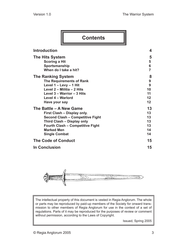| <b>Contents</b>                                                                                                                                                                                                         |                                        |
|-------------------------------------------------------------------------------------------------------------------------------------------------------------------------------------------------------------------------|----------------------------------------|
| <b>Introduction</b>                                                                                                                                                                                                     | 4                                      |
| <b>The Hits System</b><br><b>Scoring a Hit</b><br>Sportsmanship<br>When do I take a hit?                                                                                                                                | 5<br>5<br>6<br>7                       |
| <b>The Ranking System</b><br><b>The Requirements of Rank</b><br>Level 1 - Levy - 1 Hit<br>Level 2 - Militia - 2 Hits<br>Level 3 - Warrior - 3 Hits<br>Level 4 - Warlord<br>Have your say                                | 8<br>9<br>9<br>10<br>11<br>12<br>12    |
| The Battle - A New Game<br>First Clash - Display only.<br><b>Second Clash - Competitive Fight</b><br>Third Clash - Display only<br><b>Fourth Clash - Competitive Fight</b><br><b>Marked Men</b><br><b>Single Combat</b> | 13<br>13<br>13<br>13<br>13<br>14<br>14 |
| <b>The Code of Conduct</b>                                                                                                                                                                                              | 15                                     |
| <b>In Conclusion</b>                                                                                                                                                                                                    | 15                                     |



The intellectual property of this document is vested in Regia Anglorum. The whole or parts may be reproduced by paid-up members of the Society for onward transmission to other members of Regia Anglorum for use in the context of a set of regulations. Parts of it may be reproduced for the purposes of review or comment without permission, according to the Laws of Copyright.

Issued, Spring 2005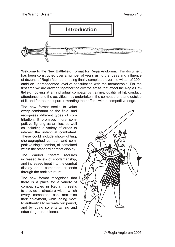<span id="page-3-0"></span>

Welcome to the New Battlefield Format for Regia Anglorum. This document has been constructed over a number of years using the ideas and influence of dozens of Regia Members, being finally completed over the winter of 2004 amid an unprecedented level of consultation with the membership. For the first time we are drawing together the diverse areas that affect the Regia Battlefield, looking at an individual combatant's training, quality of kit, conduct, attendance, and the activities they undertake in the combat arena and outside of it, and for the most part, rewarding their efforts with a competitive edge.

The new format seeks to value every combatant on the field, and recognises different types of contribution. It promises more competitive fighting as armies; as well as including a variety of areas to interest the individual combatant. These could include show-fighting, choreographed combat, and competitive single combat, all contained within the standard combat display.

The Warrior System requires increased levels of sportsmanship, and increased input into the combat display as a combatant ascends through the rank structure.

The new format recognises that there is a place for a variety of combat styles in Regia. It seeks to provide a structure within which every combatant can maximise their enjoyment, while doing more to authentically recreate our period, and by doing so entertaining and educating our audience.

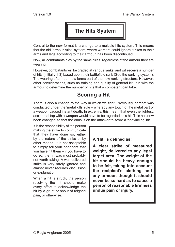

<span id="page-4-1"></span>Central to the new format is a change to a multiple hits system. This means that the old 'armour rules' system, where warriors could ignore strikes to their arms and legs according to their armour, has been discontinued.

Now, all combatants play by the same rules, regardless of the armour they are wearing.

However, combatants will be graded at various ranks, and will receive a number of hits (initially 1-3) based upon their battlefield rank (See the ranking system). The wearing of armour now forms part of the new ranking structure. However, other considerations, such as training and quality of general kit, join with the armour to determine the number of hits that a combatant can take.

# **Scoring a Hit**

There is also a change to the way in which we fight. Previously, combat was conducted under the 'metal kills' rule – whereby any touch of the metal part of a weapon caused instant death. In extremis, this meant that even the lightest, accidental tap with a weapon would have to be regarded as a hit. This has now been changed so that the onus is on the attacker to score a 'convincing' hit.

It is the responsibility of the person making the strike to communicate that they have done so, either by the nature of the strike or by other means. It is not acceptable to simply tell your opponent that you have hit them – if you have to do so, the hit was most probably not worth taking. A well-delivered strike is very rarely ignored and almost never requires discussion or explanation.

When a hit is struck, the person receiving the hit should make every effort to acknowledge the hit by a grunt or shout of feigned pain, or otherwise.

### <span id="page-4-0"></span>**A 'Hit' is defined as:**

**A clear strike of measured weight, delivered to any legal target area. The weight of the hit should be heavy enough to be felt, taking into account the recipient's clothing and any armour, though it should never be so hard as to cause a person of reasonable firmness undue pain or injury.**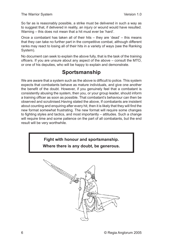<span id="page-5-0"></span>So far as is reasonably possible, a strike must be delivered in such a way as to suggest that, if delivered in reality, an injury or wound would have resulted. Warning – this does not mean that a hit must ever be 'hard'.

Once a combatant has taken all of their hits – they are 'dead' – this means that they can take no further part in the competitive combat, although different ranks may react to losing all of their hits in a variety of ways (see the Ranking System).

No document can seek to explain the above fully, that is the task of the training officers. If you are unsure about any aspect of the above – consult the MTO, or one of his deputies, who will be happy to explain and demonstrate.

# **Sportsmanship**

We are aware that a system such as the above is difficult to police. This system expects that combatants behave as mature individuals, and give one another the benefit of the doubt. However, if you genuinely feel that a combatant is consistently abusing the system, then you, or your group leader, should inform a training officer as soon as possible. That combatant's behaviour can then be observed and scrutinised.Having stated the above, If combatants are insistent about counting and enquiring after every hit, then it is likely that they will find the new format somewhat frustrating. The new format will require some changes to fighting styles and tactics, and most importantly – attitudes. Such a change will require time and some patience on the part of all combatants, but the end result will be very worthwhile.

> **Fight with honour and sportsmanship. Where there is any doubt, be generous.**

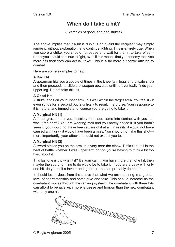## **When do I take a hit?**

(Examples of good, and bad strikes)

<span id="page-6-0"></span>The above implies that if a hit is dubious or invalid the recipient may simply ignore it, without explanation, and continue fighting. This is entirely true. When you score a strike, you should not pause and wait for the hit to take effect rather you should continue to fight, even if this means that your enemy receives more hits than they can actual 'take'. This is a far more authentic attitude to combat.

Here are some examples to help.

### **A Bad Hit**

A spearman hits you a couple of times in the knee (an illegal and unsafe shot) and then proceeds to slide the weapon upwards until he eventually finds your upper leg. Do not take this hit.

### **A Good Hit**

A strike lands on your upper arm. It is well within the target area. You feel it - it even stings for a second but is unlikely to result in a bruise. Your response to it is natural and immediate, of course you are going to take it.

### **A Marginal Hit (1)**

A spear grazes past you, possibly the blade came into contact with you—or was it the shaft? You are wearing mail and you barely notice it. If you hadn't seen it, you would not have been aware of it at all. In reality, it would not have caused an injury - it would have been a miss. You should not take this shot more importantly, your attacker should not expect you to.

### **A Marginal Hit (2)**

A sword strikes you on the arm. It is very near the elbow. Difficult to tell in the heat of battle whether it was upper arm or not, you're having to think a bit too hard about it.

This last one is tricky isn't it? It's your call. If you have more than one hit, then maybe the sporting thing to do would be to take it. If you are a Levy with only one hit, do yourself a favour and ignore it—he can probably do better.

It should be obvious from the above that what we are requiring is a greater level of sportsmanship and some give and take. This should increase as the combatant moves through the ranking system. The combatant with three hits can afford to behave with more largesse and honour than the new combatant with only one hit.

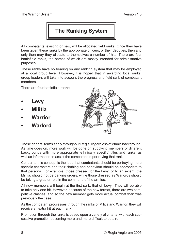

<span id="page-7-0"></span>All combatants, existing or new, will be allocated field ranks. Once they have been given these ranks by the appropriate officers, or their deputies, then and only then may they allocate to themselves a number of hits. There are four battlefield ranks, the names of which are mostly intended for administrative purposes.

These ranks have no bearing on any ranking system that may be employed at a local group level. However, it is hoped that in awarding local ranks, group leaders will take into account the progress and field rank of combatant members.

There are four battlefield ranks:

- **Levy**
- **Militia**
- **Warrior**
- **Warlord**



These general terms apply throughout Regia, regardless of ethnic background. As time goes on, more work will be done on supplying members of different backgrounds with more appropriate 'ethnically specific' titles and ranks, as well as information to assist the combatant in portraying that rank.

Central to this concept is the idea that combatants should be portraying more specific characters and their clothing and behaviour should be appropriate to that persona. For example, those dressed for the Levy, or to an extent, the Militia, should not be barking orders, while those dressed as Warlords should be taking a greater role in the command of the armies.

All new members will begin at the first rank, that of 'Levy'. They will be able to take only one hit. However, because of the new format, there are two competitive clashes, and so the new member gets more actual combat than was previously the case.

As the combatant progresses through the ranks of Militia and Warrior, they will receive an extra hit at each rank.

Promotion through the ranks is based upon a variety of criteria, with each successive promotion becoming more and more difficult to obtain.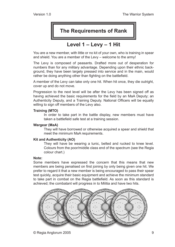## **The Requirements of Rank**

### **Level 1 – Levy – 1 Hit**

<span id="page-8-0"></span>You are a new member, with little or no kit of your own, who is training in spear and shield. You are a member of the Levy – welcome to the army!

The Levy is composed of peasants. Drafted more out of desperation for numbers than for any military advantage. Depending upon their ethnic background, they have been largely pressed into service and in the main, would rather be doing anything other than fighting on the battlefield.

A member of the Levy can take only one hit. When hit once, they die outright, cover up and do not move.

Progression to the next level will be after the Levy has been signed off as having achieved the basic requirements for the field by an MaA Deputy; an Authenticity Deputy, and a Training Deputy. National Officers will be equally willing to sign off members of the Levy also.

### **Training (MTO)**

In order to take part in the battle display, new members must have taken a battlefield safe test at a training session.

### **Wargear (MaA)**

They will have borrowed or otherwise acquired a spear and shield that meet the minimum MaA requirements.

### **Kit and Authenticity (AO)**

They will have be wearing a tunic, belted and rucked to knee level. Colours from the poor/middle class end of the spectrum (see the Regia colour chart.)

### **Note:**

Some members have expressed the concern that this means that new members are being penalised on first joining by only being given one hit. We prefer to regard it that a new member is being encouraged to pass their spear test quickly, acquire their basic equipment and achieve the minimum standard to take part in combat on the Regia battlefield. As soon as this standard is achieved; the combatant will progress in to Militia and have two hits.

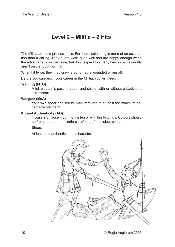## **Level 2 – Militia – 2 Hits**

<span id="page-9-0"></span>The Militia are paid professionals. For them, soldiering is more of an occupation than a calling. They guard walls quite well and are happy enough when the advantage is on their side, but don't expect too many heroics – they really aren't paid enough for that.

When hit twice, they may crawl around; retire wounded or run off.

Before you can begin your career in the Militia, you will need:

#### **Training (MTO)**

A full weapon's pass in spear and shield, with or without a backhand scramseax.

#### **Wargear (MaA)**

Your own spear and shield, manufactured to at least the minimum acceptable standard.

#### **Kit and Authenticity (AO)**

Trousers or Hose – tight to the leg or with leg bindings. Colours should be from the poor or 'middle-class' end of the colour chart.

#### **Shoes**

At least one authentic name/character.

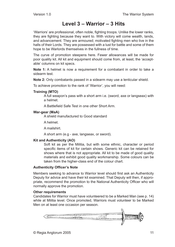### **Level 3 – Warrior – 3 Hits**

<span id="page-10-0"></span>'Warriors' are professional, often noble, fighting troops. Unlike the lower ranks, they are fighting because they want to. With victory will come wealth, lands, and advancement. They are armoured; motivated fighting men who live in the halls of their Lords. They are possessed with a lust for battle and some of them hope to be Warlords themselves in the fullness of time.

The curve of promotion steepens here. Fewer allowances will be made for poor quality kit. All kit and equipment should come from, at least, the 'acceptable' columns on kit specs.

**Note 1:** A helmet is now a requirement for a combatant in order to take a sidearm test.

**Note 2:** Only combatants passed in a sidearm may use a lenticular shield.

To achieve promotion to the rank of 'Warrior', you will need:

### **Training (MTO)**

A full weapon's pass with a short arm i.e. (sword, axe or langseax) with a helmet.

A Battlefield Safe Test in one other Short Arm.

### **War-gear (MaA)**

A shield manufactured to Good standard

A helmet.

A mailshirt.

A short arm (e.g - axe, langseax, or sword).

### **Kit and Authenticity (AO)**

Soft kit as per the Militia, but with some ethnic, character or period specific items of kit for certain shows. Generic kit can be retained for shows where that is not appropriate. All kit to be made of good quality materials and exhibit good quality workmanship. Some colours can be taken from the higher-class end of the colour chart.

### **Authenticity Officer's Note**

Members seeking to advance to Warrior level should first ask an Authenticity Deputy for advice and have their kit examined. That Deputy will then, if appropriate, recommend the promotion to the National Authenticity Officer who will normally approve the promotion.

### **Other requirements**

Candidates for Warrior must have volunteered to be a Marked Man ([see](#page-13-1) p. 14) while at Militia level. Once promoted, Warriors must volunteer to be Marked Men on at least one occasion per season.

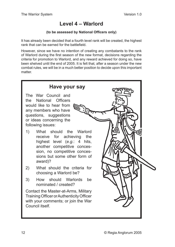### **Level 4 – Warlord**

### **(to be assessed by National Officers only)**

<span id="page-11-0"></span>It has already been decided that a fourth level rank will be created, the highest rank that can be earned for the battlefield.

However, since we have no intention of creating any combatants to the rank of Warlord during the first season of the new format, decisions regarding the criteria for promotion to Warlord, and any reward achieved for doing so, have been shelved until the end of 2005. It is felt that, after a season under the new combat rules, we will be in a much better position to decide upon this important matter.

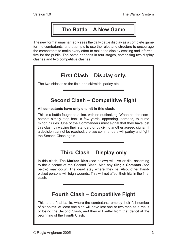# **The Battle – A New Game**

<span id="page-12-0"></span>The new format unashamedly sees the daily battle display as a complete game for the combatants, and attempts to use the rules and structure to encourage the combatants to make every effort to make the display exciting and informative for the public. The battle happens in four stages, comprising two display clashes and two competitive clashes:

# **First Clash – Display only.**

The two sides take the field and skirmish, parley etc.

### **Second Clash – Competitive Fight**

### **All combatants have only one hit in this clash.**

This is a battle fought as a line, with no outflanking. When hit, the combatants simply step back a few yards, appearing, perhaps, to nurse minor injuries. One of the Commanders must signal that they have lost this clash by waving their standard or by giving another agreed signal. If a decision cannot be reached, the two commanders will parley and fight the Second Clash again.

## **Third Clash – Display only**

In this clash, The **Marked Men** ([see below](#page-13-1)) will live or die, according to the outcome of the Second Clash. Also any **Single Combats** ([see](#page-13-2)  [below](#page-13-2)) may occur. The dead stay where they lie. Also, other handpicked persons will feign wounds. This will not affect their hits in the final clash.

## **Fourth Clash – Competitive Fight**

This is the final battle, where the combatants employ their full number of hit points. At least one side will have lost one or two men as a result of losing the Second Clash, and they will suffer from that deficit at the beginning of the Fourth Clash.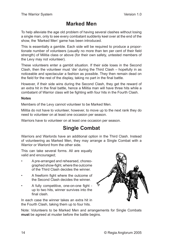# <span id="page-13-1"></span>**Marked Men**

<span id="page-13-0"></span>To help alleviate the age old problem of having several clashes without losing a single man, only to see every combatant suddenly keel over at the end of the show, the 'Marked Men' game has been introduced.

This is essentially a gamble. Each side will be required to produce a proportionate number of volunteers (usually no more than ten per cent of their field strength) of Militia class or above (for their own safety, untested members of the Levy may not volunteer).

These volunteers enter a gambit situation. If their side loses in the Second Clash, then the volunteer must 'die' during the Third Clash – hopefully in as noticeable and spectacular a fashion as possible. They then remain dead on the field for the rest of the display, taking no part in the final battle.

However, if their side wins during the Second Clash, they get the reward of an extra hit in the final battle, hence a Militia man will have three hits while a combatant of Warrior class will be fighting with four hits in the Fourth Clash.

### **Notes**

Members of the Levy cannot volunteer to be Marked Men.

Militia do not have to volunteer, however, to move up to the next rank they do need to volunteer on at least one occasion per season.

Warriors have to volunteer on at least one occasion per season.

### **Single Combat**

Warriors and Warlords have an additional option in the Third Clash. Instead of volunteering as Marked Men, they may arrange a Single Combat with a Warrior or Warlord from the other side.

This can take several forms. All are equally valid and encouraged;

- A pre-arranged and rehearsed, choreographed show-fight, where the outcome of the Third Clash decides the winner.
- A freeform fight where the outcome of the Second Clash decides the winner.
- A fully competitive, one-on-one fight up to two hits, winner survives into the final clash.

In each case the winner takes an extra hit in the Fourth Clash, taking them up to four hits.

<span id="page-13-2"></span>

Note: Volunteers to be Marked Men and arrangements for Single Combats **must** be agreed at muster before the battle begins.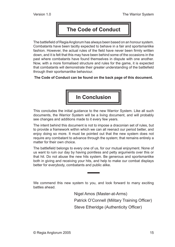# **The Code of Conduct**

<span id="page-14-0"></span>The battlefield of Regia Anglorum has always been based on an honour system. Combatants have been tacitly expected to behave in a fair and sportsmanlike fashion. However, the actual rules of the field have never been firmly written down, and it is felt that this may have been behind some of the occasions in the past where combatants have found themselves in dispute with one another. Now, with a more formalised structure and rules for the game, it is expected that combatants will demonstrate their greater understanding of the battlefield through their sportsmanlike behaviour.

**[The Code of Conduct can be found on the back page of this document.](#page-15-0)**



This concludes the initial guidance to the new Warrior System. Like all such documents, the Warrior System will be a living document, and will probably see changes and additions made to it every few years.

The intent behind this document is not to impose a draconian set of rules, but to provide a framework within which we can all reenact our period better, and enjoy doing so more. It must be pointed out that the new system does not require any combatant to advance through the system; that remains entirely a matter for their own choice.

The battlefield belongs to every one of us, for our mutual enjoyment. None of us want to ruin our day by having pointless and petty arguments over this or that hit. Do not abuse the new hits system. Be generous and sportsmanlike both in giving and receiving your hits, and help to make our combat displays better for everybody, combatants and public alike.

We commend this new system to you, and look forward to many exciting battles ahead.

Nigel Amos (Master-at-Arms)

Patrick O'Connell (Military Training Officer)

Steve Etheridge (Authenticity Officer)